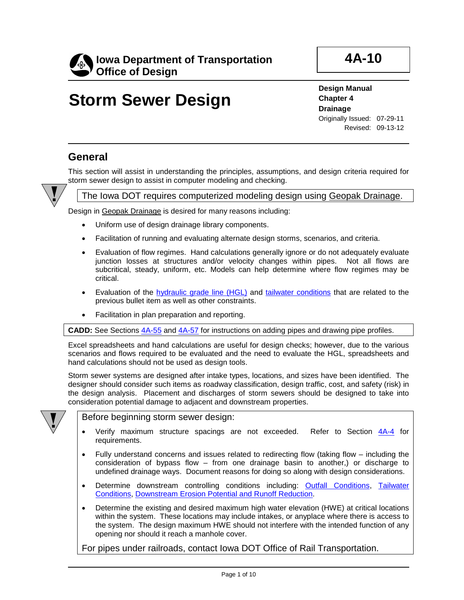

Revised: 09-13-12

# **Storm Sewer Design**

**Design Manual Chapter 4 Drainage** Originally Issued: 07-29-11

This section will assist in understanding the principles, assumptions, and design criteria required for storm sewer design to assist in computer modeling and checking.



**General**

### The Iowa DOT requires computerized modeling design using Geopak Drainage.

Design in Geopak Drainage is desired for many reasons including:

- Uniform use of design drainage library components.
- Facilitation of running and evaluating alternate design storms, scenarios, and criteria.
- Evaluation of flow regimes. Hand calculations generally ignore or do not adequately evaluate junction losses at structures and/or velocity changes within pipes. Not all flows are subcritical, steady, uniform, etc. Models can help determine where flow regimes may be critical.
- Evaluation of the hydraulic grade line (HGL) and tailwater conditions that are related to the previous bullet item as well as other constraints.
- Facilitation in plan preparation and reporting.

**CADD:** See Sections 4A-55 and 4A-57 for instructions on adding pipes and drawing pipe profiles.

Excel spreadsheets and hand calculations are useful for design checks; however, due to the various scenarios and flows required to be evaluated and the need to evaluate the HGL, spreadsheets and hand calculations should not be used as design tools.

Storm sewer systems are designed after intake types, locations, and sizes have been identified. The designer should consider such items as roadway classification, design traffic, cost, and safety (risk) in the design analysis. Placement and discharges of storm sewers should be designed to take into consideration potential damage to adjacent and downstream properties.



Before beginning storm sewer design:

- Verify maximum structure spacings are not exceeded. Refer to Section 4A-4 for requirements.
- Fully understand concerns and issues related to redirecting flow (taking flow including the consideration of bypass flow – from one drainage basin to another,) or discharge to undefined drainage ways. Document reasons for doing so along with design considerations.
- Determine downstream controlling conditions including: Outfall Conditions, Tailwater Conditions, Downstream Erosion Potential and Runoff Reduction.
- Determine the existing and desired maximum high water elevation (HWE) at critical locations within the system. These locations may include intakes, or anyplace where there is access to the system. The design maximum HWE should not interfere with the intended function of any opening nor should it reach a manhole cover.

For pipes under railroads, contact Iowa DOT Office of Rail Transportation.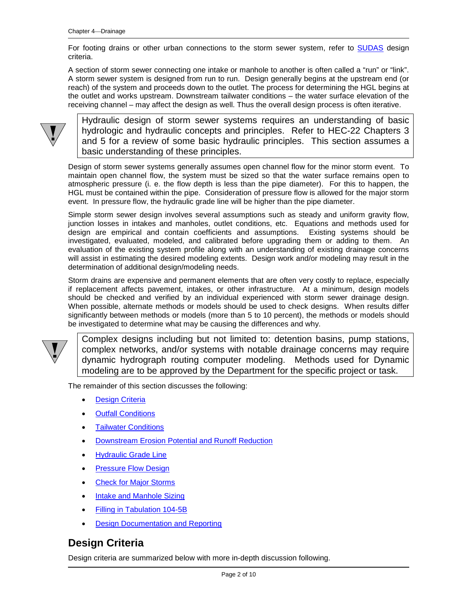For footing drains or other urban connections to the storm sewer system, refer to SUDAS design criteria.

A section of storm sewer connecting one intake or manhole to another is often called a "run" or "link". A storm sewer system is designed from run to run. Design generally begins at the upstream end (or reach) of the system and proceeds down to the outlet. The process for determining the HGL begins at the outlet and works upstream. Downstream tailwater conditions – the water surface elevation of the receiving channel – may affect the design as well. Thus the overall design process is often iterative.



Hydraulic design of storm sewer systems requires an understanding of basic hydrologic and hydraulic concepts and principles. Refer to HEC-22 Chapters 3 and 5 for a review of some basic hydraulic principles. This section assumes a basic understanding of these principles.

Design of storm sewer systems generally assumes open channel flow for the minor storm event. To maintain open channel flow, the system must be sized so that the water surface remains open to atmospheric pressure (i. e. the flow depth is less than the pipe diameter). For this to happen, the HGL must be contained within the pipe. Consideration of pressure flow is allowed for the major storm event. In pressure flow, the hydraulic grade line will be higher than the pipe diameter.

Simple storm sewer design involves several assumptions such as steady and uniform gravity flow, junction losses in intakes and manholes, outlet conditions, etc. Equations and methods used for design are empirical and contain coefficients and assumptions. Existing systems should be investigated, evaluated, modeled, and calibrated before upgrading them or adding to them. An evaluation of the existing system profile along with an understanding of existing drainage concerns will assist in estimating the desired modeling extents. Design work and/or modeling may result in the determination of additional design/modeling needs.

Storm drains are expensive and permanent elements that are often very costly to replace, especially if replacement affects pavement, intakes, or other infrastructure. At a minimum, design models should be checked and verified by an individual experienced with storm sewer drainage design. When possible, alternate methods or models should be used to check designs. When results differ significantly between methods or models (more than 5 to 10 percent), the methods or models should be investigated to determine what may be causing the differences and why.



Complex designs including but not limited to: detention basins, pump stations, complex networks, and/or systems with notable drainage concerns may require dynamic hydrograph routing computer modeling. Methods used for Dynamic modeling are to be approved by the Department for the specific project or task.

The remainder of this section discusses the following:

- **Design Criteria**
- Outfall Conditions
- Tailwater Conditions
- Downstream Erosion Potential and Runoff Reduction
- Hydraulic Grade Line
- Pressure Flow Design
- **Check for Major Storms**
- Intake and Manhole Sizing
- Filling in Tabulation 104-5B
- **Design Documentation and Reporting**

### **Design Criteria**

Design criteria are summarized below with more in-depth discussion following.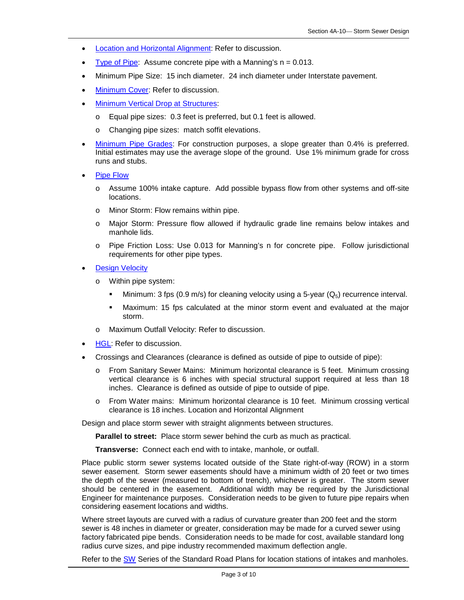- Location and Horizontal Alignment: Refer to discussion.
- Type of Pipe: Assume concrete pipe with a Manning's  $n = 0.013$ .
- Minimum Pipe Size: 15 inch diameter. 24 inch diameter under Interstate pavement.
- **Minimum Cover: Refer to discussion.**
- **Minimum Vertical Drop at Structures:** 
	- o Equal pipe sizes: 0.3 feet is preferred, but 0.1 feet is allowed.
	- o Changing pipe sizes: match soffit elevations.
- Minimum Pipe Grades: For construction purposes, a slope greater than 0.4% is preferred. Initial estimates may use the average slope of the ground. Use 1% minimum grade for cross runs and stubs.
- Pipe Flow
	- o Assume 100% intake capture. Add possible bypass flow from other systems and off-site locations.
	- o Minor Storm: Flow remains within pipe.
	- o Major Storm: Pressure flow allowed if hydraulic grade line remains below intakes and manhole lids.
	- o Pipe Friction Loss: Use 0.013 for Manning's n for concrete pipe. Follow jurisdictional requirements for other pipe types.
- **Design Velocity** 
	- o Within pipe system:
		- Minimum: 3 fps (0.9 m/s) for cleaning velocity using a 5-year ( $Q_5$ ) recurrence interval.
		- Maximum: 15 fps calculated at the minor storm event and evaluated at the major storm.
	- Maximum Outfall Velocity: Refer to discussion.
- HGL: Refer to discussion.
- Crossings and Clearances (clearance is defined as outside of pipe to outside of pipe):
	- o From Sanitary Sewer Mains: Minimum horizontal clearance is 5 feet. Minimum crossing vertical clearance is 6 inches with special structural support required at less than 18 inches. Clearance is defined as outside of pipe to outside of pipe.
	- o From Water mains: Minimum horizontal clearance is 10 feet. Minimum crossing vertical clearance is 18 inches. Location and Horizontal Alignment

Design and place storm sewer with straight alignments between structures.

**Parallel to street:** Place storm sewer behind the curb as much as practical.

**Transverse:** Connect each end with to intake, manhole, or outfall.

Place public storm sewer systems located outside of the State right-of-way (ROW) in a storm sewer easement. Storm sewer easements should have a minimum width of 20 feet or two times the depth of the sewer (measured to bottom of trench), whichever is greater. The storm sewer should be centered in the easement. Additional width may be required by the Jurisdictional Engineer for maintenance purposes. Consideration needs to be given to future pipe repairs when considering easement locations and widths.

Where street layouts are curved with a radius of curvature greater than 200 feet and the storm sewer is 48 inches in diameter or greater, consideration may be made for a curved sewer using factory fabricated pipe bends. Consideration needs to be made for cost, available standard long radius curve sizes, and pipe industry recommended maximum deflection angle.

Refer to the SW Series of the Standard Road Plans for location stations of intakes and manholes.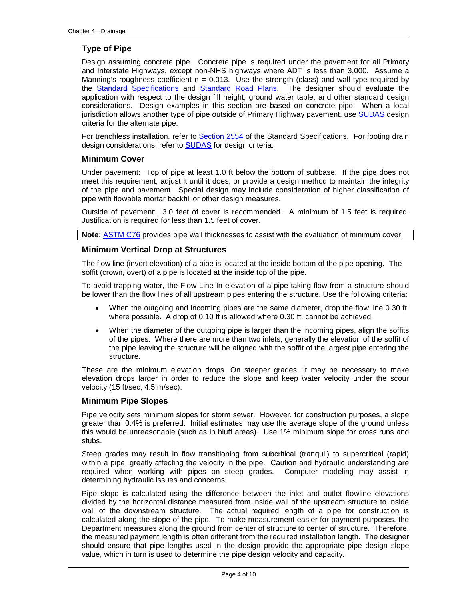### **Type of Pipe**

Design assuming concrete pipe. Concrete pipe is required under the pavement for all Primary and Interstate Highways, except non-NHS highways where ADT is less than 3,000. Assume a Manning's roughness coefficient  $n = 0.013$ . Use the strength (class) and wall type required by the Standard Specifications and Standard Road Plans. The designer should evaluate the application with respect to the design fill height, ground water table, and other standard design considerations. Design examples in this section are based on concrete pipe. When a local jurisdiction allows another type of pipe outside of Primary Highway pavement, use SUDAS design criteria for the alternate pipe.

For trenchless installation, refer to **Section 2554** of the Standard Specifications. For footing drain design considerations, refer to **SUDAS** for design criteria.

#### **Minimum Cover**

Under pavement: Top of pipe at least 1.0 ft below the bottom of subbase. If the pipe does not meet this requirement, adjust it until it does, or provide a design method to maintain the integrity of the pipe and pavement. Special design may include consideration of higher classification of pipe with flowable mortar backfill or other design measures.

Outside of pavement: 3.0 feet of cover is recommended. A minimum of 1.5 feet is required. Justification is required for less than 1.5 feet of cover.

**Note:** ASTM C76 provides pipe wall thicknesses to assist with the evaluation of minimum cover.

#### **Minimum Vertical Drop at Structures**

The flow line (invert elevation) of a pipe is located at the inside bottom of the pipe opening. The soffit (crown, overt) of a pipe is located at the inside top of the pipe.

To avoid trapping water, the Flow Line In elevation of a pipe taking flow from a structure should be lower than the flow lines of all upstream pipes entering the structure. Use the following criteria:

- When the outgoing and incoming pipes are the same diameter, drop the flow line 0.30 ft. where possible. A drop of 0.10 ft is allowed where 0.30 ft. cannot be achieved.
- When the diameter of the outgoing pipe is larger than the incoming pipes, align the soffits of the pipes. Where there are more than two inlets, generally the elevation of the soffit of the pipe leaving the structure will be aligned with the soffit of the largest pipe entering the structure.

These are the minimum elevation drops. On steeper grades, it may be necessary to make elevation drops larger in order to reduce the slope and keep water velocity under the scour velocity (15 ft/sec, 4.5 m/sec).

#### **Minimum Pipe Slopes**

Pipe velocity sets minimum slopes for storm sewer. However, for construction purposes, a slope greater than 0.4% is preferred. Initial estimates may use the average slope of the ground unless this would be unreasonable (such as in bluff areas). Use 1% minimum slope for cross runs and stubs.

Steep grades may result in flow transitioning from subcritical (tranquil) to supercritical (rapid) within a pipe, greatly affecting the velocity in the pipe. Caution and hydraulic understanding are required when working with pipes on steep grades. Computer modeling may assist in determining hydraulic issues and concerns.

Pipe slope is calculated using the difference between the inlet and outlet flowline elevations divided by the horizontal distance measured from inside wall of the upstream structure to inside wall of the downstream structure. The actual required length of a pipe for construction is calculated along the slope of the pipe. To make measurement easier for payment purposes, the Department measures along the ground from center of structure to center of structure. Therefore, the measured payment length is often different from the required installation length. The designer should ensure that pipe lengths used in the design provide the appropriate pipe design slope value, which in turn is used to determine the pipe design velocity and capacity.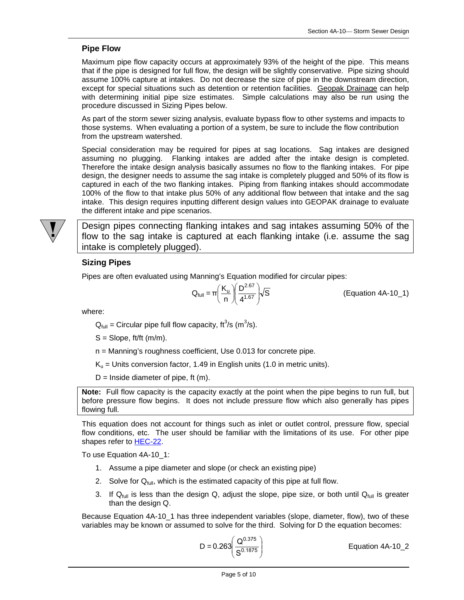#### **Pipe Flow**

Maximum pipe flow capacity occurs at approximately 93% of the height of the pipe. This means that if the pipe is designed for full flow, the design will be slightly conservative. Pipe sizing should assume 100% capture at intakes. Do not decrease the size of pipe in the downstream direction, except for special situations such as detention or retention facilities. Geopak Drainage can help with determining initial pipe size estimates. Simple calculations may also be run using the procedure discussed in Sizing Pipes below.

As part of the storm sewer sizing analysis, evaluate bypass flow to other systems and impacts to those systems. When evaluating a portion of a system, be sure to include the flow contribution from the upstream watershed.

Special consideration may be required for pipes at sag locations. Sag intakes are designed assuming no plugging. Flanking intakes are added after the intake design is completed. Therefore the intake design analysis basically assumes no flow to the flanking intakes. For pipe design, the designer needs to assume the sag intake is completely plugged and 50% of its flow is captured in each of the two flanking intakes. Piping from flanking intakes should accommodate 100% of the flow to that intake plus 50% of any additional flow between that intake and the sag intake. This design requires inputting different design values into GEOPAK drainage to evaluate the different intake and pipe scenarios.

Design pipes connecting flanking intakes and sag intakes assuming 50% of the flow to the sag intake is captured at each flanking intake (i.e. assume the sag intake is completely plugged).

### **Sizing Pipes**

Pipes are often evaluated using Manning's Equation modified for circular pipes:

$$
Q_{\text{full}} = \pi \left(\frac{K_{\text{u}}}{n}\right) \left(\frac{D^{2.67}}{4^{1.67}}\right) \sqrt{S}
$$

(Equation 4A-10\_1)

where:

 $Q_{\text{full}} =$  Circular pipe full flow capacity, ft<sup>3</sup>/s (m<sup>3</sup>/s).

 $S =$ Slope, ft/ft  $(m/m)$ .

n = Manning's roughness coefficient, Use 0.013 for concrete pipe.

 $K_u$  = Units conversion factor, 1.49 in English units (1.0 in metric units).

 $D =$  Inside diameter of pipe, ft (m).

**Note:** Full flow capacity is the capacity exactly at the point when the pipe begins to run full, but before pressure flow begins. It does not include pressure flow which also generally has pipes flowing full.

This equation does not account for things such as inlet or outlet control, pressure flow, special flow conditions, etc. The user should be familiar with the limitations of its use. For other pipe shapes refer to HEC-22.

To use Equation 4A-10\_1:

- 1. Assume a pipe diameter and slope (or check an existing pipe)
- 2. Solve for  $Q_{full}$ , which is the estimated capacity of this pipe at full flow.
- 3. If  $Q_{full}$  is less than the design Q, adjust the slope, pipe size, or both until  $Q_{full}$  is greater than the design Q.

Because Equation 4A-10\_1 has three independent variables (slope, diameter, flow), two of these variables may be known or assumed to solve for the third. Solving for D the equation becomes:

$$
D = 0.263 \left( \frac{Q^{0.375}}{S^{0.1875}} \right)
$$

Equation 4A-10\_2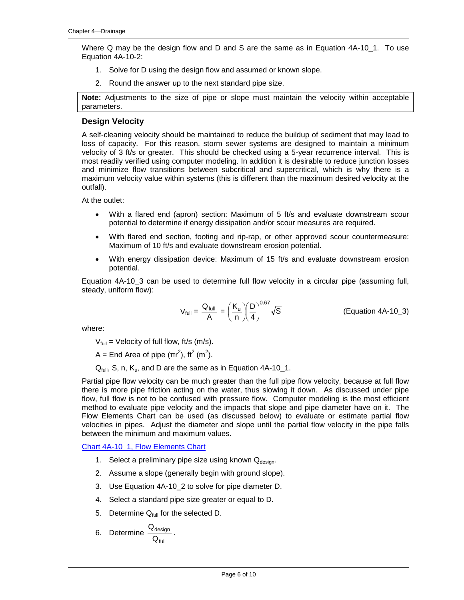Where Q may be the design flow and D and S are the same as in Equation 4A-10 1. To use Equation 4A-10-2:

- 1. Solve for D using the design flow and assumed or known slope.
- 2. Round the answer up to the next standard pipe size.

**Note:** Adjustments to the size of pipe or slope must maintain the velocity within acceptable parameters.

#### **Design Velocity**

A self-cleaning velocity should be maintained to reduce the buildup of sediment that may lead to loss of capacity. For this reason, storm sewer systems are designed to maintain a minimum velocity of 3 ft/s or greater. This should be checked using a 5-year recurrence interval. This is most readily verified using computer modeling. In addition it is desirable to reduce junction losses and minimize flow transitions between subcritical and supercritical, which is why there is a maximum velocity value within systems (this is different than the maximum desired velocity at the outfall).

At the outlet:

- With a flared end (apron) section: Maximum of 5 ft/s and evaluate downstream scour potential to determine if energy dissipation and/or scour measures are required.
- With flared end section, footing and rip-rap, or other approved scour countermeasure: Maximum of 10 ft/s and evaluate downstream erosion potential.
- With energy dissipation device: Maximum of 15 ft/s and evaluate downstream erosion potential.

Equation 4A-10\_3 can be used to determine full flow velocity in a circular pipe (assuming full, steady, uniform flow):

$$
V_{\text{full}} = \frac{Q_{\text{full}}}{A} = \left(\frac{K_{\text{u}}}{n}\right)\left(\frac{D}{4}\right)^{0.67}\sqrt{S}
$$
 (Equation 4A-10\_3)

where:

 $V_{full}$  = Velocity of full flow, ft/s (m/s).

A = End Area of pipe  $(\pi r^2)$ , ft<sup>2</sup> (m<sup>2</sup>).

 $Q_{full}$ , S, n,  $K_{ul}$ , and D are the same as in Equation 4A-10\_1.

Partial pipe flow velocity can be much greater than the full pipe flow velocity, because at full flow there is more pipe friction acting on the water, thus slowing it down. As discussed under pipe flow, full flow is not to be confused with pressure flow. Computer modeling is the most efficient method to evaluate pipe velocity and the impacts that slope and pipe diameter have on it. The Flow Elements Chart can be used (as discussed below) to evaluate or estimate partial flow velocities in pipes. Adjust the diameter and slope until the partial flow velocity in the pipe falls between the minimum and maximum values.

Chart 4A-10\_1, Flow Elements Chart

- 1. Select a preliminary pipe size using known  $Q_{\text{desion}}$ .
- 2. Assume a slope (generally begin with ground slope).
- 3. Use Equation 4A-10\_2 to solve for pipe diameter D.
- 4. Select a standard pipe size greater or equal to D.
- 5. Determine  $Q_{full}$  for the selected D.

6. Determine 
$$
\frac{Q_{\text{design}}}{Q_{\text{full}}}
$$
.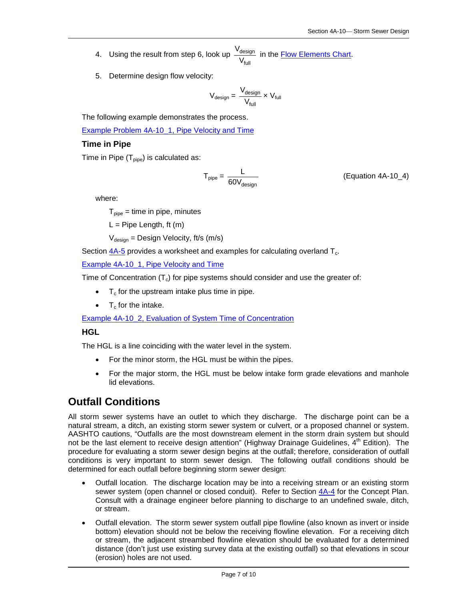- 4. Using the result from step 6, look up full design V  $\frac{V_{\text{design}}}{V}$  in the <u>Flow Elements Chart</u>.
- 5. Determine design flow velocity:

$$
V_{\text{design}} = \frac{V_{\text{design}}}{V_{\text{full}}} \times V_{\text{full}}
$$

The following example demonstrates the process.

Example Problem 4A-10\_1, Pipe Velocity and Time

#### **Time in Pipe**

```
Time in Pipe (T_{\text{pipe}}) is calculated as:
```

$$
T_{pipe} = \frac{L}{60V_{design}} \tag{Equation 4A-10_4}
$$

where:

 $T_{\text{pipe}} = \text{time in pipe, minutes}$ 

 $L =$  Pipe Length, ft (m)

 $V_{\text{design}} =$  Design Velocity, ft/s (m/s)

Section  $4A-5$  provides a worksheet and examples for calculating overland  $T_c$ .

Example 4A-10\_1, Pipe Velocity and Time

Time of Concentration  $(T_c)$  for pipe systems should consider and use the greater of:

- $\bullet$   $\top_c$  for the upstream intake plus time in pipe.
- $T_c$  for the intake.

Example 4A-10\_2, Evaluation of System Time of Concentration

#### **HGL**

The HGL is a line coinciding with the water level in the system.

- For the minor storm, the HGL must be within the pipes.
- For the major storm, the HGL must be below intake form grade elevations and manhole lid elevations.

### **Outfall Conditions**

All storm sewer systems have an outlet to which they discharge. The discharge point can be a natural stream, a ditch, an existing storm sewer system or culvert, or a proposed channel or system. AASHTO cautions, "Outfalls are the most downstream element in the storm drain system but should not be the last element to receive design attention" (Highway Drainage Guidelines, 4<sup>th</sup> Edition). The procedure for evaluating a storm sewer design begins at the outfall; therefore, consideration of outfall conditions is very important to storm sewer design. The following outfall conditions should be determined for each outfall before beginning storm sewer design:

- Outfall location. The discharge location may be into a receiving stream or an existing storm sewer system (open channel or closed conduit). Refer to Section 4A-4 for the Concept Plan. Consult with a drainage engineer before planning to discharge to an undefined swale, ditch, or stream.
- Outfall elevation. The storm sewer system outfall pipe flowline (also known as invert or inside bottom) elevation should not be below the receiving flowline elevation. For a receiving ditch or stream, the adjacent streambed flowline elevation should be evaluated for a determined distance (don't just use existing survey data at the existing outfall) so that elevations in scour (erosion) holes are not used.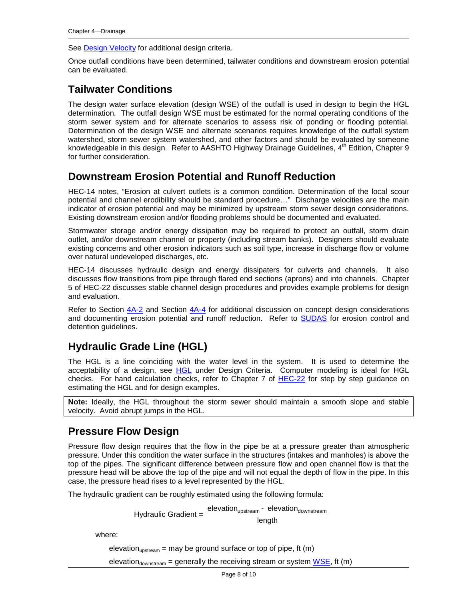See Design Velocity for additional design criteria.

Once outfall conditions have been determined, tailwater conditions and downstream erosion potential can be evaluated.

### **Tailwater Conditions**

The design water surface elevation (design WSE) of the outfall is used in design to begin the HGL determination. The outfall design WSE must be estimated for the normal operating conditions of the storm sewer system and for alternate scenarios to assess risk of ponding or flooding potential. Determination of the design WSE and alternate scenarios requires knowledge of the outfall system watershed, storm sewer system watershed, and other factors and should be evaluated by someone knowledgeable in this design. Refer to AASHTO Highway Drainage Guidelines,  $4<sup>th</sup>$  Edition, Chapter 9 for further consideration.

### **Downstream Erosion Potential and Runoff Reduction**

HEC-14 notes, "Erosion at culvert outlets is a common condition. Determination of the local scour potential and channel erodibility should be standard procedure…" Discharge velocities are the main indicator of erosion potential and may be minimized by upstream storm sewer design considerations. Existing downstream erosion and/or flooding problems should be documented and evaluated.

Stormwater storage and/or energy dissipation may be required to protect an outfall, storm drain outlet, and/or downstream channel or property (including stream banks). Designers should evaluate existing concerns and other erosion indicators such as soil type, increase in discharge flow or volume over natural undeveloped discharges, etc.

HEC-14 discusses hydraulic design and energy dissipaters for culverts and channels. It also discusses flow transitions from pipe through flared end sections (aprons) and into channels. Chapter 5 of HEC-22 discusses stable channel design procedures and provides example problems for design and evaluation.

Refer to Section 4A-2 and Section 4A-4 for additional discussion on concept design considerations and documenting erosion potential and runoff reduction. Refer to SUDAS for erosion control and detention guidelines.

## **Hydraulic Grade Line (HGL)**

The HGL is a line coinciding with the water level in the system. It is used to determine the acceptability of a design, see HGL under Design Criteria. Computer modeling is ideal for HGL checks. For hand calculation checks, refer to Chapter 7 of HEC-22 for step by step guidance on estimating the HGL and for design examples.

**Note:** Ideally, the HGL throughout the storm sewer should maintain a smooth slope and stable velocity. Avoid abrupt jumps in the HGL.

### **Pressure Flow Design**

Pressure flow design requires that the flow in the pipe be at a pressure greater than atmospheric pressure. Under this condition the water surface in the structures (intakes and manholes) is above the top of the pipes. The significant difference between pressure flow and open channel flow is that the pressure head will be above the top of the pipe and will not equal the depth of flow in the pipe. In this case, the pressure head rises to a level represented by the HGL.

The hydraulic gradient can be roughly estimated using the following formula:

Hydraulic Gradient =  $\frac{e\text{levation}_{\text{upstream}} - e\text{levation}_{\text{downstream}}}{\text{length}}$ 

where:

elevation<sub>upstream</sub> = may be ground surface or top of pipe, ft (m)

elevation<sub>downstream</sub> = generally the receiving stream or system  $WSE$ , ft (m)</u>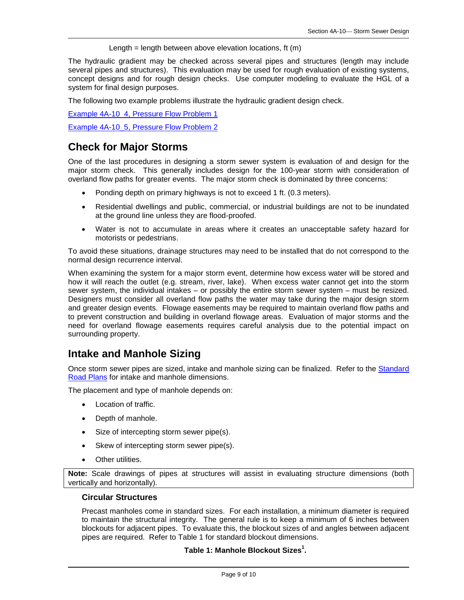Length = length between above elevation locations, ft  $(m)$ 

The hydraulic gradient may be checked across several pipes and structures (length may include several pipes and structures). This evaluation may be used for rough evaluation of existing systems, concept designs and for rough design checks. Use computer modeling to evaluate the HGL of a system for final design purposes.

The following two example problems illustrate the hydraulic gradient design check.

Example 4A-10 4, Pressure Flow Problem 1

Example 4A-10\_5, Pressure Flow Problem 2

### **Check for Major Storms**

One of the last procedures in designing a storm sewer system is evaluation of and design for the major storm check. This generally includes design for the 100-year storm with consideration of overland flow paths for greater events. The major storm check is dominated by three concerns:

- Ponding depth on primary highways is not to exceed 1 ft. (0.3 meters).
- Residential dwellings and public, commercial, or industrial buildings are not to be inundated at the ground line unless they are flood-proofed.
- Water is not to accumulate in areas where it creates an unacceptable safety hazard for motorists or pedestrians.

To avoid these situations, drainage structures may need to be installed that do not correspond to the normal design recurrence interval.

When examining the system for a major storm event, determine how excess water will be stored and how it will reach the outlet (e.g. stream, river, lake). When excess water cannot get into the storm sewer system, the individual intakes – or possibly the entire storm sewer system – must be resized. Designers must consider all overland flow paths the water may take during the major design storm and greater design events. Flowage easements may be required to maintain overland flow paths and to prevent construction and building in overland flowage areas. Evaluation of major storms and the need for overland flowage easements requires careful analysis due to the potential impact on surrounding property.

### **Intake and Manhole Sizing**

Once storm sewer pipes are sized, intake and manhole sizing can be finalized. Refer to the Standard Road Plans for intake and manhole dimensions.

The placement and type of manhole depends on:

- Location of traffic.
- Depth of manhole.
- Size of intercepting storm sewer pipe(s).
- Skew of intercepting storm sewer pipe(s).
- Other utilities.

**Note:** Scale drawings of pipes at structures will assist in evaluating structure dimensions (both vertically and horizontally).

#### **Circular Structures**

Precast manholes come in standard sizes. For each installation, a minimum diameter is required to maintain the structural integrity. The general rule is to keep a minimum of 6 inches between blockouts for adjacent pipes. To evaluate this, the blockout sizes of and angles between adjacent pipes are required. Refer to Table 1 for standard blockout dimensions.

**Table 1: Manhole Blockout Sizes1 .**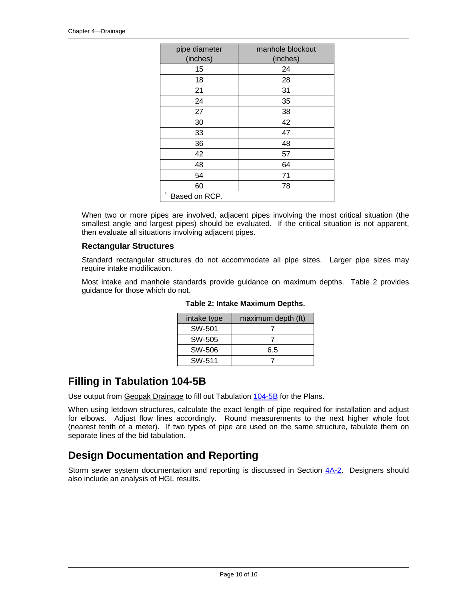| pipe diameter      | manhole blockout |
|--------------------|------------------|
| (inches)           | (inches)         |
| 15                 | 24               |
| 18                 | 28               |
| 21                 | 31               |
| 24                 | 35               |
| 27                 | 38               |
| 30                 | 42               |
| 33                 | 47               |
| 36                 | 48               |
| 42                 | 57               |
| 48                 | 64               |
| 54                 | 71               |
| 60                 | 78               |
| 1<br>Based on RCP. |                  |

When two or more pipes are involved, adjacent pipes involving the most critical situation (the smallest angle and largest pipes) should be evaluated. If the critical situation is not apparent, then evaluate all situations involving adjacent pipes.

#### **Rectangular Structures**

Standard rectangular structures do not accommodate all pipe sizes. Larger pipe sizes may require intake modification.

Most intake and manhole standards provide guidance on maximum depths. Table 2 provides guidance for those which do not.

| intake type | maximum depth (ft) |
|-------------|--------------------|
| SW-501      |                    |
| SW-505      |                    |
| SW-506      | 6.5                |
| SW-511      |                    |

**Table 2: Intake Maximum Depths.**

### **Filling in Tabulation 104-5B**

Use output from Geopak Drainage to fill out Tabulation 104-5B for the Plans.

When using letdown structures, calculate the exact length of pipe required for installation and adjust for elbows. Adjust flow lines accordingly. Round measurements to the next higher whole foot (nearest tenth of a meter). If two types of pipe are used on the same structure, tabulate them on separate lines of the bid tabulation.

### **Design Documentation and Reporting**

Storm sewer system documentation and reporting is discussed in Section  $4A-2$ . Designers should also include an analysis of HGL results.